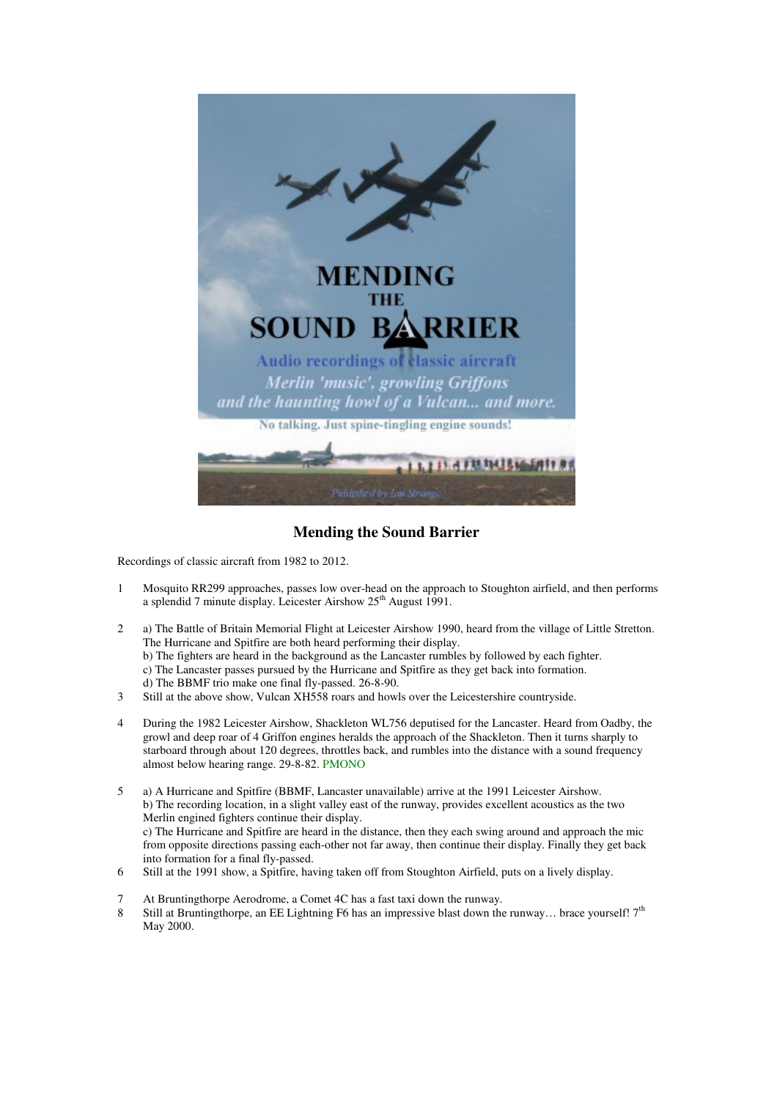

**Mending the Sound Barrier** 

Recordings of classic aircraft from 1982 to 2012.

- 1 Mosquito RR299 approaches, passes low over-head on the approach to Stoughton airfield, and then performs a splendid 7 minute display. Leicester Airshow 25<sup>th</sup> August 1991.
- 2 a) The Battle of Britain Memorial Flight at Leicester Airshow 1990, heard from the village of Little Stretton. The Hurricane and Spitfire are both heard performing their display. b) The fighters are heard in the background as the Lancaster rumbles by followed by each fighter. c) The Lancaster passes pursued by the Hurricane and Spitfire as they get back into formation. d) The BBMF trio make one final fly-passed. 26-8-90.
- 3 Still at the above show, Vulcan XH558 roars and howls over the Leicestershire countryside.
- 4 During the 1982 Leicester Airshow, Shackleton WL756 deputised for the Lancaster. Heard from Oadby, the growl and deep roar of 4 Griffon engines heralds the approach of the Shackleton. Then it turns sharply to starboard through about 120 degrees, throttles back, and rumbles into the distance with a sound frequency almost below hearing range. 29-8-82. PMONO
- 5 a) A Hurricane and Spitfire (BBMF, Lancaster unavailable) arrive at the 1991 Leicester Airshow. b) The recording location, in a slight valley east of the runway, provides excellent acoustics as the two Merlin engined fighters continue their display. c) The Hurricane and Spitfire are heard in the distance, then they each swing around and approach the mic from opposite directions passing each-other not far away, then continue their display. Finally they get back into formation for a final fly-passed.
- 6 Still at the 1991 show, a Spitfire, having taken off from Stoughton Airfield, puts on a lively display.
- 7 At Bruntingthorpe Aerodrome, a Comet 4C has a fast taxi down the runway.
- 8 Still at Bruntingthorpe, an EE Lightning F6 has an impressive blast down the runway... brace yourself!  $7<sup>th</sup>$ May 2000.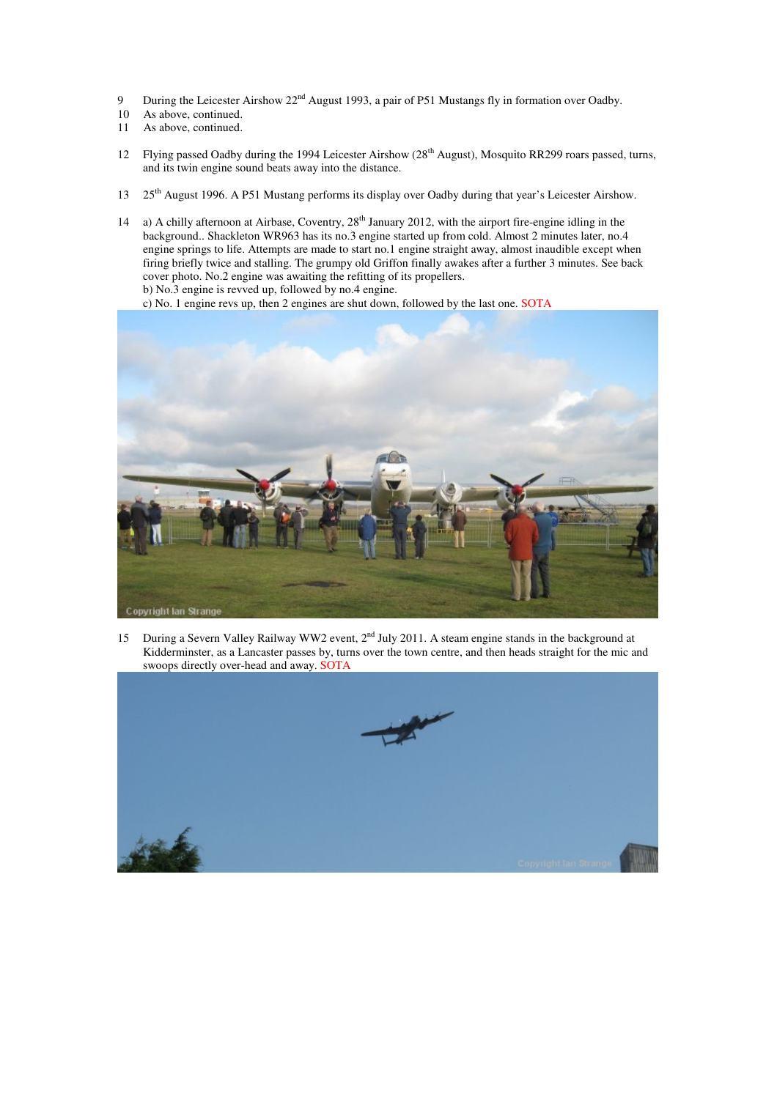- 9 During the Leicester Airshow 22<sup>nd</sup> August 1993, a pair of P51 Mustangs fly in formation over Oadby.
- 10 As above, continued.
- 11 As above, continued.
- 12 Flying passed Oadby during the 1994 Leicester Airshow (28<sup>th</sup> August), Mosquito RR299 roars passed, turns, and its twin engine sound beats away into the distance.
- 13 25<sup>th</sup> August 1996. A P51 Mustang performs its display over Oadby during that year's Leicester Airshow.
- 14 a) A chilly afternoon at Airbase, Coventry, 28<sup>th</sup> January 2012, with the airport fire-engine idling in the background.. Shackleton WR963 has its no.3 engine started up from cold. Almost 2 minutes later, no.4 engine springs to life. Attempts are made to start no.1 engine straight away, almost inaudible except when firing briefly twice and stalling. The grumpy old Griffon finally awakes after a further 3 minutes. See back cover photo. No.2 engine was awaiting the refitting of its propellers. b) No.3 engine is revved up, followed by no.4 engine.

c) No. 1 engine revs up, then 2 engines are shut down, followed by the last one. SOTA



15 During a Severn Valley Railway WW2 event,  $2<sup>nd</sup>$  July 2011. A steam engine stands in the background at Kidderminster, as a Lancaster passes by, turns over the town centre, and then heads straight for the mic and swoops directly over-head and away. SOTA

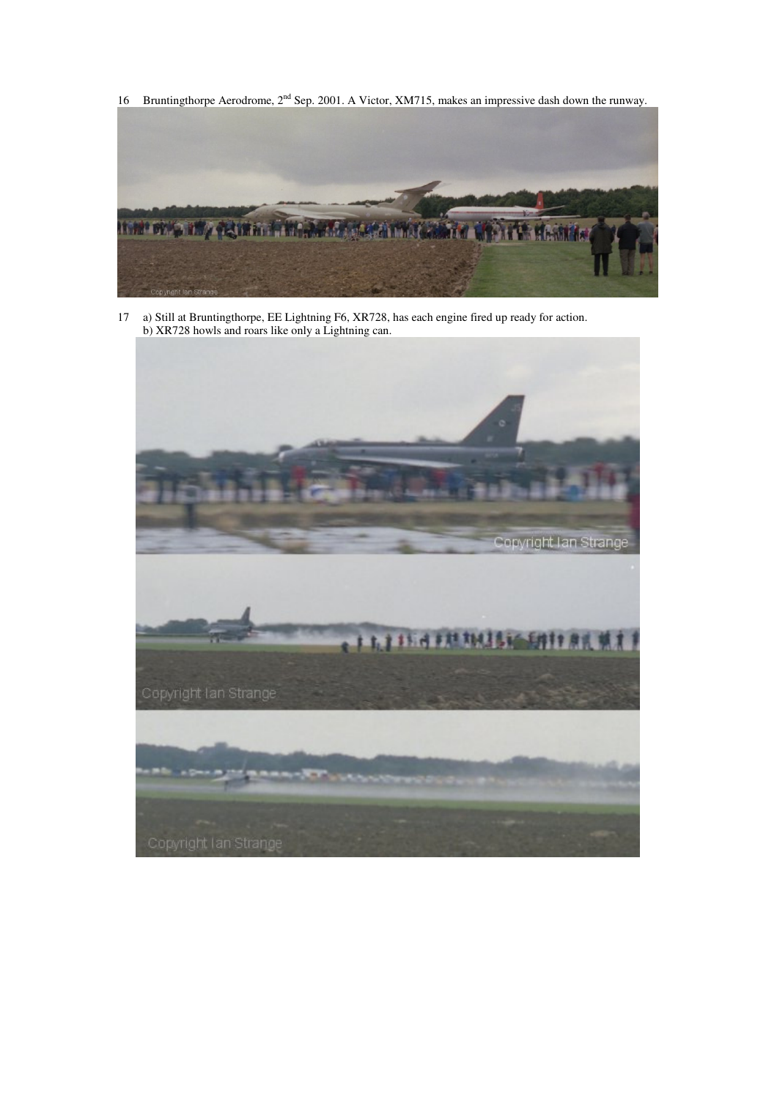16 Bruntingthorpe Aerodrome, 2nd Sep. 2001. A Victor, XM715, makes an impressive dash down the runway.



17 a) Still at Bruntingthorpe, EE Lightning F6, XR728, has each engine fired up ready for action. b) XR728 howls and roars like only a Lightning can.